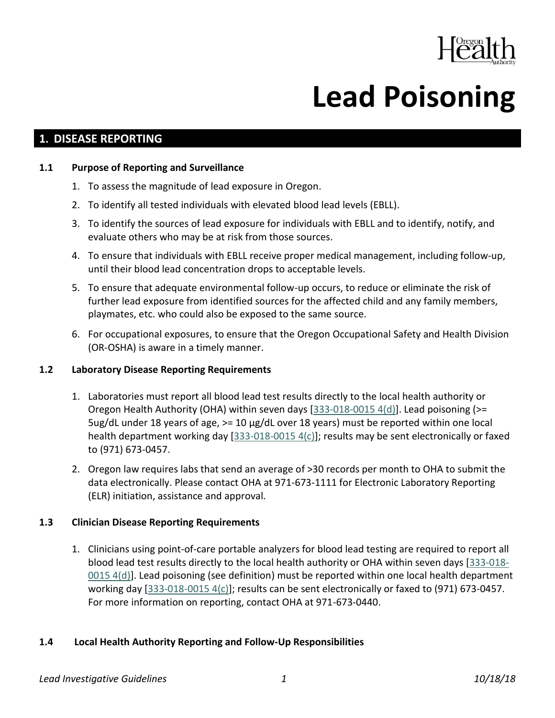

# **Lead Poisoning**

# **1. DISEASE REPORTING**

#### **1.1 Purpose of Reporting and Surveillance**

- 1. To assess the magnitude of lead exposure in Oregon.
- 2. To identify all tested individuals with elevated blood lead levels (EBLL).
- 3. To identify the sources of lead exposure for individuals with EBLL and to identify, notify, and evaluate others who may be at risk from those sources.
- 4. To ensure that individuals with EBLL receive proper medical management, including follow-up, until their blood lead concentration drops to acceptable levels.
- 5. To ensure that adequate environmental follow-up occurs, to reduce or eliminate the risk of further lead exposure from identified sources for the affected child and any family members, playmates, etc. who could also be exposed to the same source.
- 6. For occupational exposures, to ensure that the Oregon Occupational Safety and Health Division (OR-OSHA) is aware in a timely manner.

## **1.2 Laboratory Disease Reporting Requirements**

- 1. Laboratories must report all blood lead test results directly to the local health authority or Oregon Health Authority (OHA) within seven days [\[333-018-0015 4\(d\)\]](https://secure.sos.state.or.us/oard/view.action?ruleNumber=333-018-0015). Lead poisoning (>= 5ug/dL under 18 years of age, >= 10 µg/dL over 18 years) must be reported within one local health department working day [\[333-018-0015 4\(c\)\]](https://secure.sos.state.or.us/oard/view.action?ruleNumber=333-018-0015); results may be sent electronically or faxed to (971) 673-0457.
- 2. Oregon law requires labs that send an average of >30 records per month to OHA to submit the data electronically. Please contact OHA at 971-673-1111 for Electronic Laboratory Reporting (ELR) initiation, assistance and approval.

## **1.3 Clinician Disease Reporting Requirements**

1. Clinicians using point-of-care portable analyzers for blood lead testing are required to report all blood lead test results directly to the local health authority or OHA within seven days [\[333-018-](https://secure.sos.state.or.us/oard/view.action?ruleNumber=333-018-0015) [0015 4\(d\)\]](https://secure.sos.state.or.us/oard/view.action?ruleNumber=333-018-0015). Lead poisoning (see definition) must be reported within one local health department working day [\[333-018-0015 4\(c\)\]](https://secure.sos.state.or.us/oard/view.action?ruleNumber=333-018-0015); results can be sent electronically or faxed to (971) 673-0457. For more information on reporting, contact OHA at 971-673-0440.

## **1.4 Local Health Authority Reporting and Follow-Up Responsibilities**

#### *Lead Investigative Guidelines 1 10/18/18*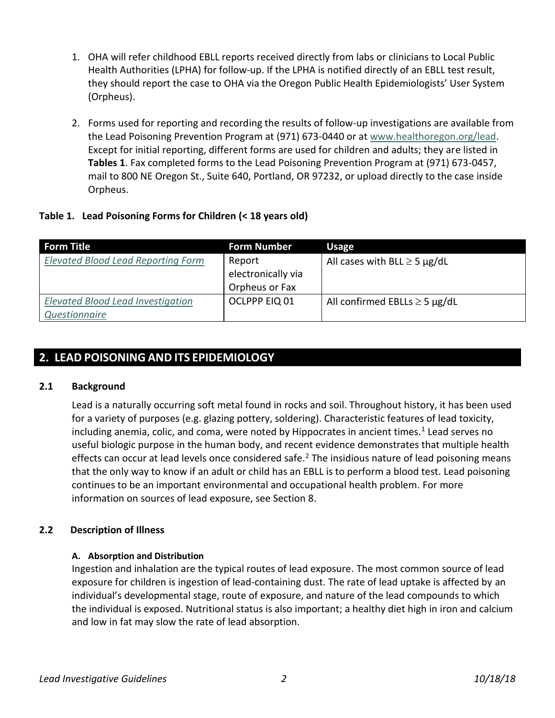- 1. OHA will refer childhood EBLL reports received directly from labs or clinicians to Local Public Health Authorities (LPHA) for follow-up. If the LPHA is notified directly of an EBLL test result, they should report the case to OHA via the Oregon Public Health Epidemiologists' User System (Orpheus).
- 2. Forms used for reporting and recording the results of follow-up investigations are available from the Lead Poisoning Prevention Program at (971) 673-0440 or at [www.healthoregon.org/lead.](http://public.health.oregon.gov/HealthyEnvironments/HealthyNeighborhoods/LeadPoisoning/CountyHealthDepartments/Pages/index.aspx) Except for initial reporting, different forms are used for children and adults; they are listed in **Tables 1**. Fax completed forms to the Lead Poisoning Prevention Program at (971) 673-0457, mail to 800 NE Oregon St., Suite 640, Portland, OR 97232, or upload directly to the case inside Orpheus.

## **Table 1. Lead Poisoning Forms for Children (< 18 years old)**

| <b>Form Title</b>                         | <b>Form Number</b> | <b>Usage</b>                       |
|-------------------------------------------|--------------------|------------------------------------|
| <b>Elevated Blood Lead Reporting Form</b> | Report             | All cases with BLL $\geq$ 5 µg/dL  |
|                                           | electronically via |                                    |
|                                           | Orpheus or Fax     |                                    |
| <b>Elevated Blood Lead Investigation</b>  | OCLPPP EIQ 01      | All confirmed EBLLs $\geq$ 5 µg/dL |
| Questionnaire                             |                    |                                    |

# **2. LEAD POISONING AND ITS EPIDEMIOLOGY**

## **2.1 Background**

Lead is a naturally occurring soft metal found in rocks and soil. Throughout history, it has been used for a variety of purposes (e.g. glazing pottery, soldering). Characteristic features of lead toxicity, including anemia, colic, and coma, were noted by Hippocrates in ancient times.<sup>1</sup> Lead serves no useful biologic purpose in the human body, and recent evidence demonstrates that multiple health effects can occur at lead levels once considered safe.<sup>2</sup> The insidious nature of lead poisoning means that the only way to know if an adult or child has an EBLL is to perform a blood test. Lead poisoning continues to be an important environmental and occupational health problem. For more information on sources of lead exposure, see Section 8.

# **2.2 Description of Illness**

## **A. Absorption and Distribution**

Ingestion and inhalation are the typical routes of lead exposure. The most common source of lead exposure for children is ingestion of lead-containing dust. The rate of lead uptake is affected by an individual's developmental stage, route of exposure, and nature of the lead compounds to which the individual is exposed. Nutritional status is also important; a healthy diet high in iron and calcium and low in fat may slow the rate of lead absorption.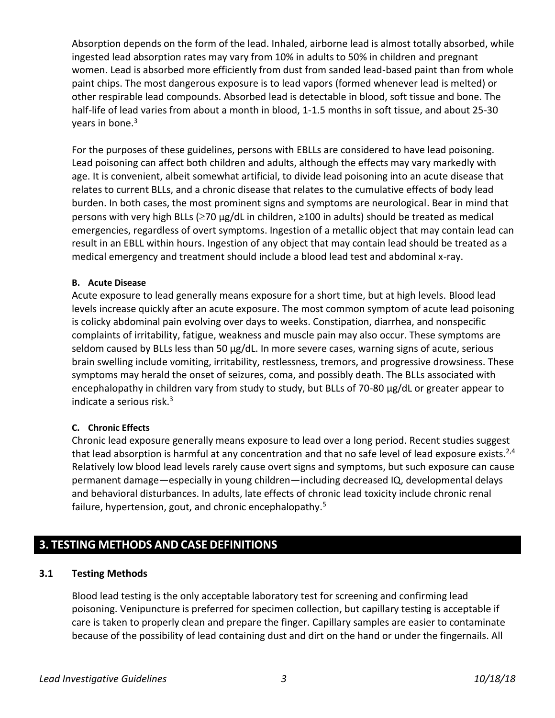Absorption depends on the form of the lead. Inhaled, airborne lead is almost totally absorbed, while ingested lead absorption rates may vary from 10% in adults to 50% in children and pregnant women. Lead is absorbed more efficiently from dust from sanded lead-based paint than from whole paint chips. The most dangerous exposure is to lead vapors (formed whenever lead is melted) or other respirable lead compounds. Absorbed lead is detectable in blood, soft tissue and bone. The half-life of lead varies from about a month in blood, 1-1.5 months in soft tissue, and about 25-30 years in bone. 3

For the purposes of these guidelines, persons with EBLLs are considered to have lead poisoning. Lead poisoning can affect both children and adults, although the effects may vary markedly with age. It is convenient, albeit somewhat artificial, to divide lead poisoning into an acute disease that relates to current BLLs, and a chronic disease that relates to the cumulative effects of body lead burden. In both cases, the most prominent signs and symptoms are neurological. Bear in mind that persons with very high BLLs ( $\geq$ 70 μg/dL in children,  $\geq$ 100 in adults) should be treated as medical emergencies, regardless of overt symptoms. Ingestion of a metallic object that may contain lead can result in an EBLL within hours. Ingestion of any object that may contain lead should be treated as a medical emergency and treatment should include a blood lead test and abdominal x-ray.

## **B. Acute Disease**

Acute exposure to lead generally means exposure for a short time, but at high levels. Blood lead levels increase quickly after an acute exposure. The most common symptom of acute lead poisoning is colicky abdominal pain evolving over days to weeks. Constipation, diarrhea, and nonspecific complaints of irritability, fatigue, weakness and muscle pain may also occur. These symptoms are seldom caused by BLLs less than 50 μg/dL. In more severe cases, warning signs of acute, serious brain swelling include vomiting, irritability, restlessness, tremors, and progressive drowsiness. These symptoms may herald the onset of seizures, coma, and possibly death. The BLLs associated with encephalopathy in children vary from study to study, but BLLs of 70-80 μg/dL or greater appear to indicate a serious risk. 3

## **C. Chronic Effects**

Chronic lead exposure generally means exposure to lead over a long period. Recent studies suggest that lead absorption is harmful at any concentration and that no safe level of lead exposure exists.<sup>2,4</sup> Relatively low blood lead levels rarely cause overt signs and symptoms, but such exposure can cause permanent damage—especially in young children—including decreased IQ, developmental delays and behavioral disturbances. In adults, late effects of chronic lead toxicity include chronic renal failure, hypertension, gout, and chronic encephalopathy.<sup>5</sup>

# **3. TESTING METHODS AND CASE DEFINITIONS**

# **3.1 Testing Methods**

Blood lead testing is the only acceptable laboratory test for screening and confirming lead poisoning. Venipuncture is preferred for specimen collection, but capillary testing is acceptable if care is taken to properly clean and prepare the finger. Capillary samples are easier to contaminate because of the possibility of lead containing dust and dirt on the hand or under the fingernails. All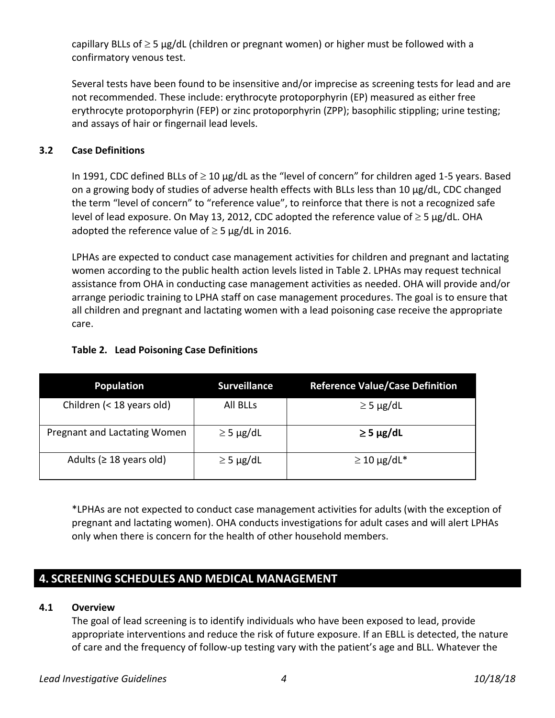capillary BLLs of  $\geq$  5 µg/dL (children or pregnant women) or higher must be followed with a confirmatory venous test.

Several tests have been found to be insensitive and/or imprecise as screening tests for lead and are not recommended. These include: erythrocyte protoporphyrin (EP) measured as either free erythrocyte protoporphyrin (FEP) or zinc protoporphyrin (ZPP); basophilic stippling; urine testing; and assays of hair or fingernail lead levels.

## **3.2 Case Definitions**

In 1991, CDC defined BLLs of  $\geq$  10 µg/dL as the "level of concern" for children aged 1-5 years. Based on a growing body of studies of adverse health effects with BLLs less than 10 μg/dL, CDC changed the term "level of concern" to "reference value", to reinforce that there is not a recognized safe level of lead exposure. On May 13, 2012, CDC adopted the reference value of  $\geq$  5 µg/dL. OHA adopted the reference value of  $\geq$  5 µg/dL in 2016.

LPHAs are expected to conduct case management activities for children and pregnant and lactating women according to the public health action levels listed in Table 2. LPHAs may request technical assistance from OHA in conducting case management activities as needed. OHA will provide and/or arrange periodic training to LPHA staff on case management procedures. The goal is to ensure that all children and pregnant and lactating women with a lead poisoning case receive the appropriate care.

## **Table 2. Lead Poisoning Case Definitions**

| <b>Population</b>             | <b>Surveillance</b> | <b>Reference Value/Case Definition</b> |
|-------------------------------|---------------------|----------------------------------------|
| Children (< 18 years old)     | <b>All BLLs</b>     | $\geq$ 5 µg/dL                         |
| Pregnant and Lactating Women  | $\geq$ 5 µg/dL      | $\geq$ 5 µg/dL                         |
| Adults ( $\geq$ 18 years old) | $\geq$ 5 µg/dL      | $\geq$ 10 µg/dL*                       |

\*LPHAs are not expected to conduct case management activities for adults (with the exception of pregnant and lactating women). OHA conducts investigations for adult cases and will alert LPHAs only when there is concern for the health of other household members.

# **4. SCREENING SCHEDULES AND MEDICAL MANAGEMENT**

## **4.1 Overview**

The goal of lead screening is to identify individuals who have been exposed to lead, provide appropriate interventions and reduce the risk of future exposure. If an EBLL is detected, the nature of care and the frequency of follow-up testing vary with the patient's age and BLL. Whatever the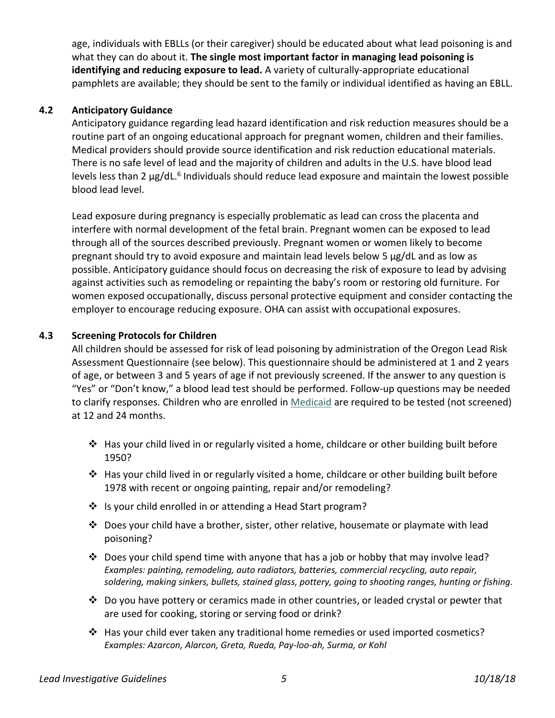age, individuals with EBLLs (or their caregiver) should be educated about what lead poisoning is and what they can do about it. **The single most important factor in managing lead poisoning is identifying and reducing exposure to lead.** A variety of culturally-appropriate educational pamphlets are available; they should be sent to the family or individual identified as having an EBLL.

## **4.2 Anticipatory Guidance**

Anticipatory guidance regarding lead hazard identification and risk reduction measures should be a routine part of an ongoing educational approach for pregnant women, children and their families. Medical providers should provide source identification and risk reduction educational materials. There is no safe level of lead and the majority of children and adults in the U.S. have blood lead levels less than 2 μg/dL.<sup>6</sup> Individuals should reduce lead exposure and maintain the lowest possible blood lead level.

Lead exposure during pregnancy is especially problematic as lead can cross the placenta and interfere with normal development of the fetal brain. Pregnant women can be exposed to lead through all of the sources described previously. Pregnant women or women likely to become pregnant should try to avoid exposure and maintain lead levels below 5 μg/dL and as low as possible. Anticipatory guidance should focus on decreasing the risk of exposure to lead by advising against activities such as remodeling or repainting the baby's room or restoring old furniture. For women exposed occupationally, discuss personal protective equipment and consider contacting the employer to encourage reducing exposure. OHA can assist with occupational exposures.

# **4.3 Screening Protocols for Children**

All children should be assessed for risk of lead poisoning by administration of the Oregon Lead Risk Assessment Questionnaire (see below). This questionnaire should be administered at 1 and 2 years of age, or between 3 and 5 years of age if not previously screened. If the answer to any question is "Yes" or "Don't know," a blood lead test should be performed. Follow-up questions may be needed to clarify responses. Children who are enrolled i[n Medicaid](https://www.medicaid.gov/federal-policy-guidance/downloads/cib113016.pdf) are required to be tested (not screened) at 12 and 24 months.

- ❖ Has your child lived in or regularly visited a home, childcare or other building built before 1950?
- ❖ Has your child lived in or regularly visited a home, childcare or other building built before 1978 with recent or ongoing painting, repair and/or remodeling?
- ❖ Is your child enrolled in or attending a Head Start program?
- ❖ Does your child have a brother, sister, other relative, housemate or playmate with lead poisoning?
- ❖ Does your child spend time with anyone that has a job or hobby that may involve lead? *Examples: painting, remodeling, auto radiators, batteries, commercial recycling, auto repair, soldering, making sinkers, bullets, stained glass, pottery, going to shooting ranges, hunting or fishing.*
- $\clubsuit$  Do you have pottery or ceramics made in other countries, or leaded crystal or pewter that are used for cooking, storing or serving food or drink?
- ❖ Has your child ever taken any traditional home remedies or used imported cosmetics? *Examples: Azarcon, Alarcon, Greta, Rueda, Pay-loo-ah, Surma, or Kohl*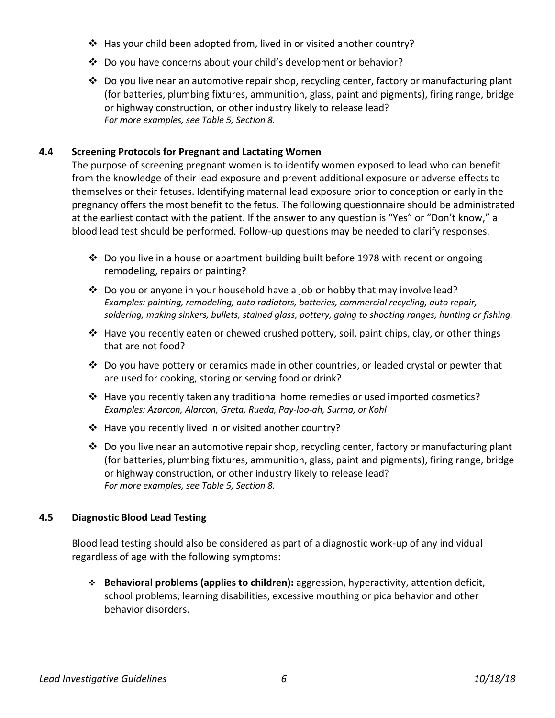- ❖ Has your child been adopted from, lived in or visited another country?
- ❖ Do you have concerns about your child's development or behavior?
- ❖ Do you live near an automotive repair shop, recycling center, factory or manufacturing plant (for batteries, plumbing fixtures, ammunition, glass, paint and pigments), firing range, bridge or highway construction, or other industry likely to release lead? *For more examples, see Table 5, Section 8.*

## **4.4 Screening Protocols for Pregnant and Lactating Women**

The purpose of screening pregnant women is to identify women exposed to lead who can benefit from the knowledge of their lead exposure and prevent additional exposure or adverse effects to themselves or their fetuses. Identifying maternal lead exposure prior to conception or early in the pregnancy offers the most benefit to the fetus. The following questionnaire should be administrated at the earliest contact with the patient. If the answer to any question is "Yes" or "Don't know," a blood lead test should be performed. Follow-up questions may be needed to clarify responses.

- ❖ Do you live in a house or apartment building built before 1978 with recent or ongoing remodeling, repairs or painting?
- ❖ Do you or anyone in your household have a job or hobby that may involve lead? *Examples: painting, remodeling, auto radiators, batteries, commercial recycling, auto repair, soldering, making sinkers, bullets, stained glass, pottery, going to shooting ranges, hunting or fishing.*
- ❖ Have you recently eaten or chewed crushed pottery, soil, paint chips, clay, or other things that are not food?
- ❖ Do you have pottery or ceramics made in other countries, or leaded crystal or pewter that are used for cooking, storing or serving food or drink?
- ❖ Have you recently taken any traditional home remedies or used imported cosmetics? *Examples: Azarcon, Alarcon, Greta, Rueda, Pay-loo-ah, Surma, or Kohl*
- ❖ Have you recently lived in or visited another country?
- ❖ Do you live near an automotive repair shop, recycling center, factory or manufacturing plant (for batteries, plumbing fixtures, ammunition, glass, paint and pigments), firing range, bridge or highway construction, or other industry likely to release lead? *For more examples, see Table 5, Section 8.*

## **4.5 Diagnostic Blood Lead Testing**

Blood lead testing should also be considered as part of a diagnostic work-up of any individual regardless of age with the following symptoms:

❖ **Behavioral problems (applies to children):** aggression, hyperactivity, attention deficit, school problems, learning disabilities, excessive mouthing or pica behavior and other behavior disorders.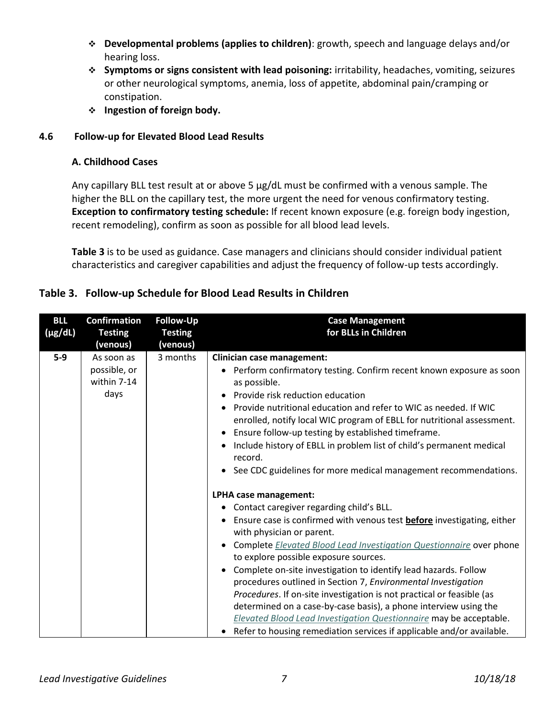- ❖ **Developmental problems (applies to children)**: growth, speech and language delays and/or hearing loss.
- ❖ **Symptoms or signs consistent with lead poisoning:** irritability, headaches, vomiting, seizures or other neurological symptoms, anemia, loss of appetite, abdominal pain/cramping or constipation.
- ❖ **Ingestion of foreign body.**

# **4.6 Follow-up for Elevated Blood Lead Results**

# **A. Childhood Cases**

Any capillary BLL test result at or above 5 μg/dL must be confirmed with a venous sample. The higher the BLL on the capillary test, the more urgent the need for venous confirmatory testing. **Exception to confirmatory testing schedule:** If recent known exposure (e.g. foreign body ingestion, recent remodeling), confirm as soon as possible for all blood lead levels.

**Table 3** is to be used as guidance. Case managers and clinicians should consider individual patient characteristics and caregiver capabilities and adjust the frequency of follow-up tests accordingly.

| <b>BLL</b>   | <b>Confirmation</b>                               | <b>Follow-Up</b> | <b>Case Management</b>                                                                                                                                                                                                                                                                                                                                                                                                                                                                                                                                                                                                                                                                                                                                         |
|--------------|---------------------------------------------------|------------------|----------------------------------------------------------------------------------------------------------------------------------------------------------------------------------------------------------------------------------------------------------------------------------------------------------------------------------------------------------------------------------------------------------------------------------------------------------------------------------------------------------------------------------------------------------------------------------------------------------------------------------------------------------------------------------------------------------------------------------------------------------------|
| $(\mu g/dL)$ | <b>Testing</b>                                    | <b>Testing</b>   | for BLLs in Children                                                                                                                                                                                                                                                                                                                                                                                                                                                                                                                                                                                                                                                                                                                                           |
|              | (venous)                                          | (venous)         |                                                                                                                                                                                                                                                                                                                                                                                                                                                                                                                                                                                                                                                                                                                                                                |
| $5-9$        | As soon as<br>possible, or<br>within 7-14<br>days | 3 months         | <b>Clinician case management:</b><br>• Perform confirmatory testing. Confirm recent known exposure as soon<br>as possible.<br>Provide risk reduction education<br>$\bullet$<br>Provide nutritional education and refer to WIC as needed. If WIC<br>$\bullet$<br>enrolled, notify local WIC program of EBLL for nutritional assessment.<br>Ensure follow-up testing by established timeframe.<br>$\bullet$<br>Include history of EBLL in problem list of child's permanent medical<br>record.<br>See CDC guidelines for more medical management recommendations.<br>$\bullet$                                                                                                                                                                                   |
|              |                                                   |                  | LPHA case management:<br>Contact caregiver regarding child's BLL.<br>٠<br>Ensure case is confirmed with venous test <b>before</b> investigating, either<br>with physician or parent.<br>Complete Elevated Blood Lead Investigation Questionnaire over phone<br>$\bullet$<br>to explore possible exposure sources.<br>Complete on-site investigation to identify lead hazards. Follow<br>$\bullet$<br>procedures outlined in Section 7, Environmental Investigation<br>Procedures. If on-site investigation is not practical or feasible (as<br>determined on a case-by-case basis), a phone interview using the<br>Elevated Blood Lead Investigation Questionnaire may be acceptable.<br>Refer to housing remediation services if applicable and/or available. |

# **Table 3. Follow-up Schedule for Blood Lead Results in Children**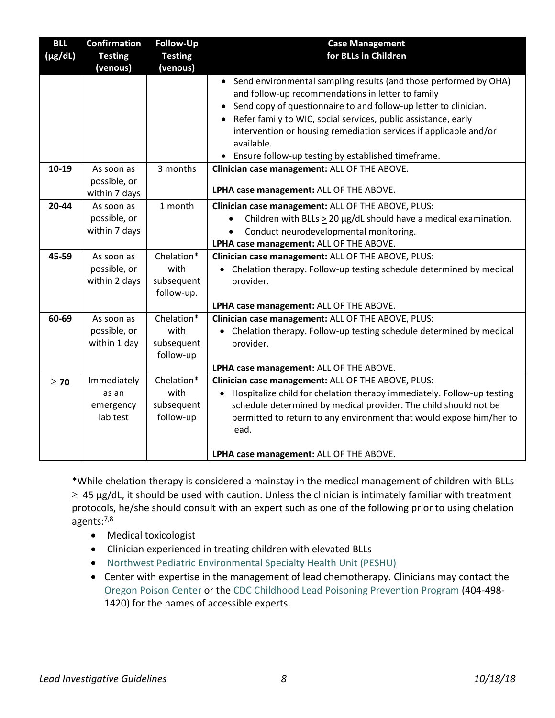| <b>BLL</b>   | <b>Confirmation</b> | <b>Follow-Up</b> | <b>Case Management</b>                                                               |
|--------------|---------------------|------------------|--------------------------------------------------------------------------------------|
| $(\mu g/dL)$ | <b>Testing</b>      | <b>Testing</b>   | for BLLs in Children                                                                 |
|              | (venous)            | (venous)         |                                                                                      |
|              |                     |                  | • Send environmental sampling results (and those performed by OHA)                   |
|              |                     |                  | and follow-up recommendations in letter to family                                    |
|              |                     |                  | Send copy of questionnaire to and follow-up letter to clinician.<br>$\bullet$        |
|              |                     |                  | Refer family to WIC, social services, public assistance, early<br>$\bullet$          |
|              |                     |                  | intervention or housing remediation services if applicable and/or                    |
|              |                     |                  | available.                                                                           |
|              |                     |                  | • Ensure follow-up testing by established timeframe.                                 |
| 10-19        | As soon as          | 3 months         | Clinician case management: ALL OF THE ABOVE.                                         |
|              | possible, or        |                  |                                                                                      |
|              | within 7 days       |                  | LPHA case management: ALL OF THE ABOVE.                                              |
| $20 - 44$    | As soon as          | 1 month          | Clinician case management: ALL OF THE ABOVE, PLUS:                                   |
|              | possible, or        |                  | Children with BLLs $>$ 20 $\mu$ g/dL should have a medical examination.<br>$\bullet$ |
|              | within 7 days       |                  | Conduct neurodevelopmental monitoring.                                               |
|              |                     |                  | LPHA case management: ALL OF THE ABOVE.                                              |
| 45-59        | As soon as          | Chelation*       | Clinician case management: ALL OF THE ABOVE, PLUS:                                   |
|              | possible, or        | with             | Chelation therapy. Follow-up testing schedule determined by medical                  |
|              | within 2 days       | subsequent       | provider.                                                                            |
|              |                     | follow-up.       |                                                                                      |
|              |                     |                  | LPHA case management: ALL OF THE ABOVE.                                              |
| 60-69        | As soon as          | Chelation*       | Clinician case management: ALL OF THE ABOVE, PLUS:                                   |
|              | possible, or        | with             | Chelation therapy. Follow-up testing schedule determined by medical                  |
|              | within 1 day        | subsequent       | provider.                                                                            |
|              |                     | follow-up        |                                                                                      |
|              |                     |                  | LPHA case management: ALL OF THE ABOVE.                                              |
| $\geq 70$    | Immediately         | Chelation*       | Clinician case management: ALL OF THE ABOVE, PLUS:                                   |
|              | as an               | with             | Hospitalize child for chelation therapy immediately. Follow-up testing               |
|              | emergency           | subsequent       | schedule determined by medical provider. The child should not be                     |
|              | lab test            | follow-up        | permitted to return to any environment that would expose him/her to                  |
|              |                     |                  | lead.                                                                                |
|              |                     |                  |                                                                                      |
|              |                     |                  | LPHA case management: ALL OF THE ABOVE.                                              |

\*While chelation therapy is considered a mainstay in the medical management of children with BLLs  $\geq$  45 µg/dL, it should be used with caution. Unless the clinician is intimately familiar with treatment protocols, he/she should consult with an expert such as one of the following prior to using chelation agents: 7,8

- Medical toxicologist
- Clinician experienced in treating children with elevated BLLs
- [Northwest Pediatric Environmental Specialty Health Unit \(PESHU\)](http://depts.washington.edu/pehsu/)
- Center with expertise in the management of lead chemotherapy. Clinicians may contact the [Oregon Poison Center](http://www.oregonpoison.org/) or the CDC Childhood [Lead Poisoning Prevention Program](http://www.cdc.gov/nceh/lead/about/program.htm) (404-498- 1420) for the names of accessible experts.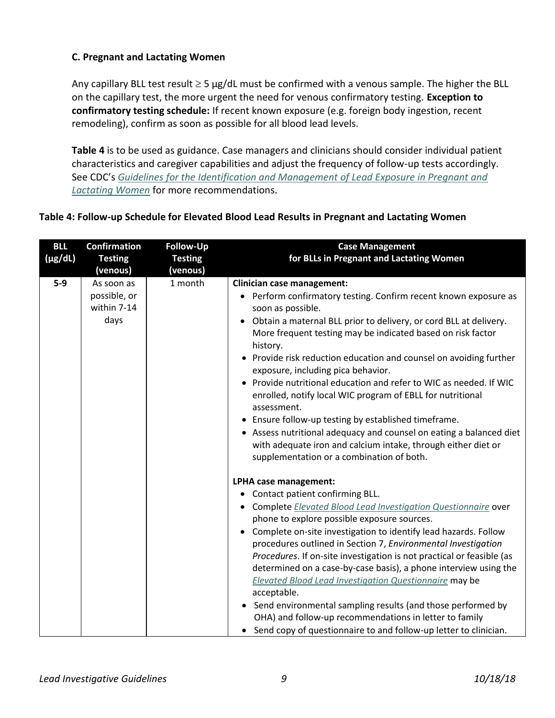# **C. Pregnant and Lactating Women**

Any capillary BLL test result  $\geq$  5 µg/dL must be confirmed with a venous sample. The higher the BLL on the capillary test, the more urgent the need for venous confirmatory testing. **Exception to confirmatory testing schedule:** If recent known exposure (e.g. foreign body ingestion, recent remodeling), confirm as soon as possible for all blood lead levels.

**Table 4** is to be used as guidance. Case managers and clinicians should consider individual patient characteristics and caregiver capabilities and adjust the frequency of follow-up tests accordingly. See CDC's *[Guidelines for the Identification and Management of Lead Exposure in Pregnant and](http://www.cdc.gov/nceh/lead/publications/leadandpregnancy2010.pdf)  [Lactating Women](http://www.cdc.gov/nceh/lead/publications/leadandpregnancy2010.pdf)* for more recommendations.

# **Table 4: Follow-up Schedule for Elevated Blood Lead Results in Pregnant and Lactating Women**

| <b>BLL</b>   | <b>Confirmation</b> | Follow-Up      | <b>Case Management</b>                                                                                                                        |
|--------------|---------------------|----------------|-----------------------------------------------------------------------------------------------------------------------------------------------|
| $(\mu g/dL)$ | <b>Testing</b>      | <b>Testing</b> | for BLLs in Pregnant and Lactating Women                                                                                                      |
|              | (venous)            | (venous)       |                                                                                                                                               |
| $5-9$        | As soon as          | 1 month        | <b>Clinician case management:</b>                                                                                                             |
|              | possible, or        |                | • Perform confirmatory testing. Confirm recent known exposure as                                                                              |
|              | within 7-14         |                | soon as possible.                                                                                                                             |
|              | days                |                | Obtain a maternal BLL prior to delivery, or cord BLL at delivery.<br>$\bullet$<br>More frequent testing may be indicated based on risk factor |
|              |                     |                | history.                                                                                                                                      |
|              |                     |                | • Provide risk reduction education and counsel on avoiding further<br>exposure, including pica behavior.                                      |
|              |                     |                | Provide nutritional education and refer to WIC as needed. If WIC<br>enrolled, notify local WIC program of EBLL for nutritional                |
|              |                     |                | assessment.                                                                                                                                   |
|              |                     |                | Ensure follow-up testing by established timeframe.                                                                                            |
|              |                     |                | • Assess nutritional adequacy and counsel on eating a balanced diet                                                                           |
|              |                     |                | with adequate iron and calcium intake, through either diet or                                                                                 |
|              |                     |                | supplementation or a combination of both.                                                                                                     |
|              |                     |                | LPHA case management:                                                                                                                         |
|              |                     |                | Contact patient confirming BLL.                                                                                                               |
|              |                     |                | • Complete Elevated Blood Lead Investigation Questionnaire over                                                                               |
|              |                     |                | phone to explore possible exposure sources.                                                                                                   |
|              |                     |                | Complete on-site investigation to identify lead hazards. Follow<br>procedures outlined in Section 7, Environmental Investigation              |
|              |                     |                | Procedures. If on-site investigation is not practical or feasible (as                                                                         |
|              |                     |                | determined on a case-by-case basis), a phone interview using the                                                                              |
|              |                     |                | Elevated Blood Lead Investigation Questionnaire may be                                                                                        |
|              |                     |                | acceptable.                                                                                                                                   |
|              |                     |                | Send environmental sampling results (and those performed by                                                                                   |
|              |                     |                | OHA) and follow-up recommendations in letter to family                                                                                        |
|              |                     |                | • Send copy of questionnaire to and follow-up letter to clinician.                                                                            |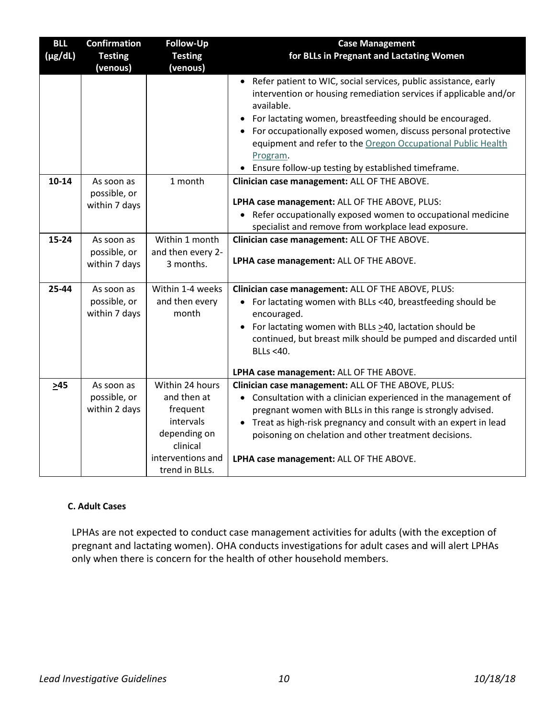| <b>BLL</b>   | <b>Confirmation</b>           | <b>Follow-Up</b>               | <b>Case Management</b>                                                                                                                                                                                                                                                                                                                                                                                                |
|--------------|-------------------------------|--------------------------------|-----------------------------------------------------------------------------------------------------------------------------------------------------------------------------------------------------------------------------------------------------------------------------------------------------------------------------------------------------------------------------------------------------------------------|
| $(\mu g/dL)$ | <b>Testing</b>                | <b>Testing</b>                 | for BLLs in Pregnant and Lactating Women                                                                                                                                                                                                                                                                                                                                                                              |
|              | (venous)                      | (venous)                       |                                                                                                                                                                                                                                                                                                                                                                                                                       |
|              |                               |                                | • Refer patient to WIC, social services, public assistance, early<br>intervention or housing remediation services if applicable and/or<br>available.<br>For lactating women, breastfeeding should be encouraged.<br>For occupationally exposed women, discuss personal protective<br>equipment and refer to the Oregon Occupational Public Health<br>Program.<br>• Ensure follow-up testing by established timeframe. |
| $10 - 14$    | As soon as                    | 1 month                        | Clinician case management: ALL OF THE ABOVE.                                                                                                                                                                                                                                                                                                                                                                          |
|              | possible, or<br>within 7 days |                                | LPHA case management: ALL OF THE ABOVE, PLUS:<br>• Refer occupationally exposed women to occupational medicine<br>specialist and remove from workplace lead exposure.                                                                                                                                                                                                                                                 |
| $15 - 24$    | As soon as                    | Within 1 month                 | Clinician case management: ALL OF THE ABOVE.                                                                                                                                                                                                                                                                                                                                                                          |
|              | possible, or<br>within 7 days | and then every 2-<br>3 months. | LPHA case management: ALL OF THE ABOVE.                                                                                                                                                                                                                                                                                                                                                                               |
| 25-44        | As soon as                    | Within 1-4 weeks               | Clinician case management: ALL OF THE ABOVE, PLUS:                                                                                                                                                                                                                                                                                                                                                                    |
|              | possible, or<br>within 7 days | and then every<br>month        | For lactating women with BLLs <40, breastfeeding should be<br>encouraged.<br>For lactating women with BLLs $\geq$ 40, lactation should be                                                                                                                                                                                                                                                                             |
|              |                               |                                | continued, but breast milk should be pumped and discarded until<br>BLLs <40.                                                                                                                                                                                                                                                                                                                                          |
|              |                               | Within 24 hours                | LPHA case management: ALL OF THE ABOVE.                                                                                                                                                                                                                                                                                                                                                                               |
| $\geq 45$    | As soon as<br>possible, or    | and then at                    | Clinician case management: ALL OF THE ABOVE, PLUS:<br>• Consultation with a clinician experienced in the management of                                                                                                                                                                                                                                                                                                |
|              | within 2 days                 | frequent                       | pregnant women with BLLs in this range is strongly advised.                                                                                                                                                                                                                                                                                                                                                           |
|              |                               | intervals                      | • Treat as high-risk pregnancy and consult with an expert in lead                                                                                                                                                                                                                                                                                                                                                     |
|              |                               | depending on                   | poisoning on chelation and other treatment decisions.                                                                                                                                                                                                                                                                                                                                                                 |
|              |                               | clinical                       |                                                                                                                                                                                                                                                                                                                                                                                                                       |
|              |                               | interventions and              | LPHA case management: ALL OF THE ABOVE.                                                                                                                                                                                                                                                                                                                                                                               |
|              |                               | trend in BLLs.                 |                                                                                                                                                                                                                                                                                                                                                                                                                       |

## **C. Adult Cases**

LPHAs are not expected to conduct case management activities for adults (with the exception of pregnant and lactating women). OHA conducts investigations for adult cases and will alert LPHAs only when there is concern for the health of other household members.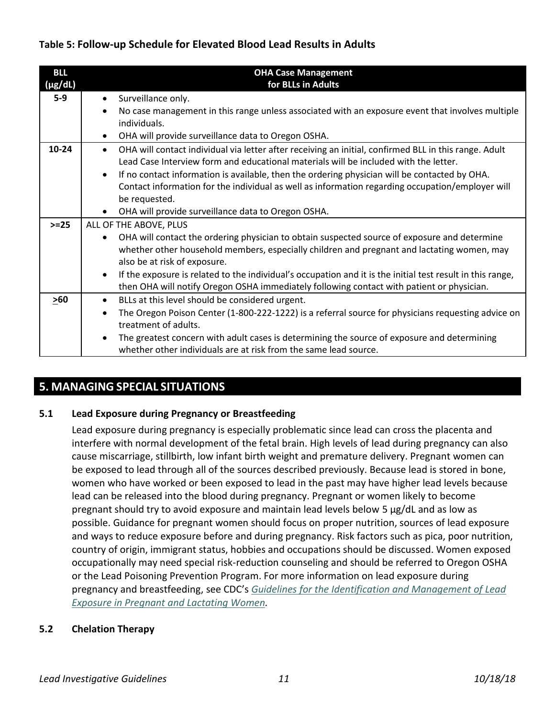# **Table 5: Follow-up Schedule for Elevated Blood Lead Results in Adults**

| <b>BLL</b>   |           | <b>OHA Case Management</b>                                                                                 |
|--------------|-----------|------------------------------------------------------------------------------------------------------------|
| $(\mu g/dL)$ |           | for BLLs in Adults                                                                                         |
| $5-9$        | $\bullet$ | Surveillance only.                                                                                         |
|              |           | No case management in this range unless associated with an exposure event that involves multiple           |
|              |           | individuals.                                                                                               |
|              | $\bullet$ | OHA will provide surveillance data to Oregon OSHA.                                                         |
| $10 - 24$    | $\bullet$ | OHA will contact individual via letter after receiving an initial, confirmed BLL in this range. Adult      |
|              |           | Lead Case Interview form and educational materials will be included with the letter.                       |
|              | $\bullet$ | If no contact information is available, then the ordering physician will be contacted by OHA.              |
|              |           | Contact information for the individual as well as information regarding occupation/employer will           |
|              |           | be requested.                                                                                              |
|              | $\bullet$ | OHA will provide surveillance data to Oregon OSHA.                                                         |
| $>=25$       |           | ALL OF THE ABOVE, PLUS                                                                                     |
|              | ٠         | OHA will contact the ordering physician to obtain suspected source of exposure and determine               |
|              |           | whether other household members, especially children and pregnant and lactating women, may                 |
|              |           | also be at risk of exposure.                                                                               |
|              | $\bullet$ | If the exposure is related to the individual's occupation and it is the initial test result in this range, |
|              |           | then OHA will notify Oregon OSHA immediately following contact with patient or physician.                  |
| >60          | $\bullet$ | BLLs at this level should be considered urgent.                                                            |
|              | $\bullet$ | The Oregon Poison Center (1-800-222-1222) is a referral source for physicians requesting advice on         |
|              |           | treatment of adults.                                                                                       |
|              | ٠         | The greatest concern with adult cases is determining the source of exposure and determining                |
|              |           | whether other individuals are at risk from the same lead source.                                           |

# **5. MANAGING SPECIAL SITUATIONS**

# **5.1 Lead Exposure during Pregnancy or Breastfeeding**

Lead exposure during pregnancy is especially problematic since lead can cross the placenta and interfere with normal development of the fetal brain. High levels of lead during pregnancy can also cause miscarriage, stillbirth, low infant birth weight and premature delivery. Pregnant women can be exposed to lead through all of the sources described previously. Because lead is stored in bone, women who have worked or been exposed to lead in the past may have higher lead levels because lead can be released into the blood during pregnancy. Pregnant or women likely to become pregnant should try to avoid exposure and maintain lead levels below 5 μg/dL and as low as possible. Guidance for pregnant women should focus on proper nutrition, sources of lead exposure and ways to reduce exposure before and during pregnancy. Risk factors such as pica, poor nutrition, country of origin, immigrant status, hobbies and occupations should be discussed. Women exposed occupationally may need special risk-reduction counseling and should be referred to Oregon OSHA or the Lead Poisoning Prevention Program. For more information on lead exposure during pregnancy and breastfeeding, see CDC's *[Guidelines for the Identification and Management of Lead](http://www.cdc.gov/nceh/lead/publications/LeadandPregnancy2010.pdf)  Exposure in Pregnant [and Lactating Women.](http://www.cdc.gov/nceh/lead/publications/LeadandPregnancy2010.pdf)*

# **5.2 Chelation Therapy**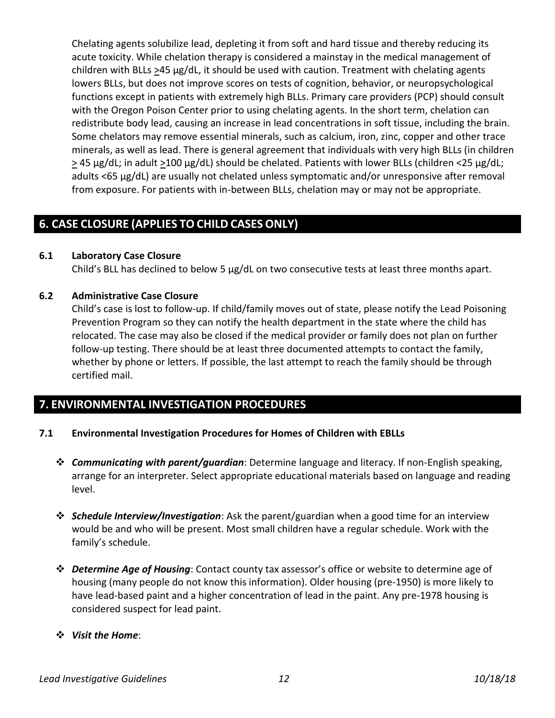Chelating agents solubilize lead, depleting it from soft and hard tissue and thereby reducing its acute toxicity. While chelation therapy is considered a mainstay in the medical management of children with BLLs >45 μg/dL, it should be used with caution. Treatment with chelating agents lowers BLLs, but does not improve scores on tests of cognition, behavior, or neuropsychological functions except in patients with extremely high BLLs. Primary care providers (PCP) should consult with the Oregon Poison Center prior to using chelating agents. In the short term, chelation can redistribute body lead, causing an increase in lead concentrations in soft tissue, including the brain. Some chelators may remove essential minerals, such as calcium, iron, zinc, copper and other trace minerals, as well as lead. There is general agreement that individuals with very high BLLs (in children  $\geq$  45 µg/dL; in adult  $\geq$ 100 µg/dL) should be chelated. Patients with lower BLLs (children <25 µg/dL; adults <65 µg/dL) are usually not chelated unless symptomatic and/or unresponsive after removal from exposure. For patients with in-between BLLs, chelation may or may not be appropriate.

# **6. CASE CLOSURE (APPLIES TO CHILD CASES ONLY)**

## **6.1 Laboratory Case Closure**

Child's BLL has declined to below 5 μg/dL on two consecutive tests at least three months apart.

## **6.2 Administrative Case Closure**

Child's case is lost to follow-up. If child/family moves out of state, please notify the Lead Poisoning Prevention Program so they can notify the health department in the state where the child has relocated. The case may also be closed if the medical provider or family does not plan on further follow-up testing. There should be at least three documented attempts to contact the family, whether by phone or letters. If possible, the last attempt to reach the family should be through certified mail.

# **7. ENVIRONMENTAL INVESTIGATION PROCEDURES**

## **7.1 Environmental Investigation Procedures for Homes of Children with EBLLs**

- ❖ *Communicating with parent/guardian*: Determine language and literacy. If non-English speaking, arrange for an interpreter. Select appropriate educational materials based on language and reading level.
- ❖ *Schedule Interview/Investigation*: Ask the parent/guardian when a good time for an interview would be and who will be present. Most small children have a regular schedule. Work with the family's schedule.
- ❖ *Determine Age of Housing*: Contact county tax assessor's office or website to determine age of housing (many people do not know this information). Older housing (pre-1950) is more likely to have lead-based paint and a higher concentration of lead in the paint. Any pre-1978 housing is considered suspect for lead paint.

## ❖ *Visit the Home*: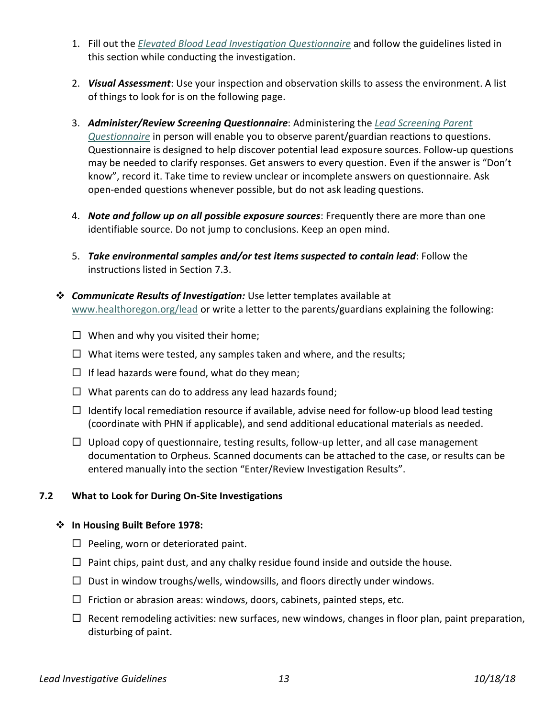- 1. Fill out the *[Elevated Blood Lead Investigation Questionnaire](http://public.health.oregon.gov/HealthyEnvironments/HealthyNeighborhoods/LeadPoisoning/CountyHealthDepartments/Documents/environmentalquestionnaire.pdf)* and follow the guidelines listed in this section while conducting the investigation.
- 2. *Visual Assessment*: Use your inspection and observation skills to assess the environment. A list of things to look for is on the following page.
- 3. *Administer/Review Screening Questionnaire*: Administering the *[Lead Screening Parent](http://public.health.oregon.gov/HealthyEnvironments/HealthyNeighborhoods/LeadPoisoning/MedicalProvidersLaboratories/Documents/parentquest.pdf)  [Questionnaire](http://public.health.oregon.gov/HealthyEnvironments/HealthyNeighborhoods/LeadPoisoning/MedicalProvidersLaboratories/Documents/parentquest.pdf)* in person will enable you to observe parent/guardian reactions to questions. Questionnaire is designed to help discover potential lead exposure sources. Follow-up questions may be needed to clarify responses. Get answers to every question. Even if the answer is "Don't know", record it. Take time to review unclear or incomplete answers on questionnaire. Ask open-ended questions whenever possible, but do not ask leading questions.
- 4. *Note and follow up on all possible exposure sources*: Frequently there are more than one identifiable source. Do not jump to conclusions. Keep an open mind.
- 5. *Take environmental samples and/or test items suspected to contain lead*: Follow the instructions listed in Section 7.3.
- ❖ *Communicate Results of Investigation:* Use letter templates available at [www.healthoregon.org/lead](http://public.health.oregon.gov/HealthyEnvironments/HealthyNeighborhoods/LeadPoisoning/CountyHealthDepartments/Pages/index.aspx) or write a letter to the parents/guardians explaining the following:
	- $\Box$  When and why you visited their home;
	- $\Box$  What items were tested, any samples taken and where, and the results;
	- $\Box$  If lead hazards were found, what do they mean;
	- $\Box$  What parents can do to address any lead hazards found;
	- $\Box$  Identify local remediation resource if available, advise need for follow-up blood lead testing (coordinate with PHN if applicable), and send additional educational materials as needed.
	- $\Box$  Upload copy of questionnaire, testing results, follow-up letter, and all case management documentation to Orpheus. Scanned documents can be attached to the case, or results can be entered manually into the section "Enter/Review Investigation Results".

# **7.2 What to Look for During On-Site Investigations**

# ❖ **In Housing Built Before 1978:**

- $\Box$  Peeling, worn or deteriorated paint.
- $\Box$  Paint chips, paint dust, and any chalky residue found inside and outside the house.
- $\Box$  Dust in window troughs/wells, windowsills, and floors directly under windows.
- $\Box$  Friction or abrasion areas: windows, doors, cabinets, painted steps, etc.
- $\Box$  Recent remodeling activities: new surfaces, new windows, changes in floor plan, paint preparation, disturbing of paint.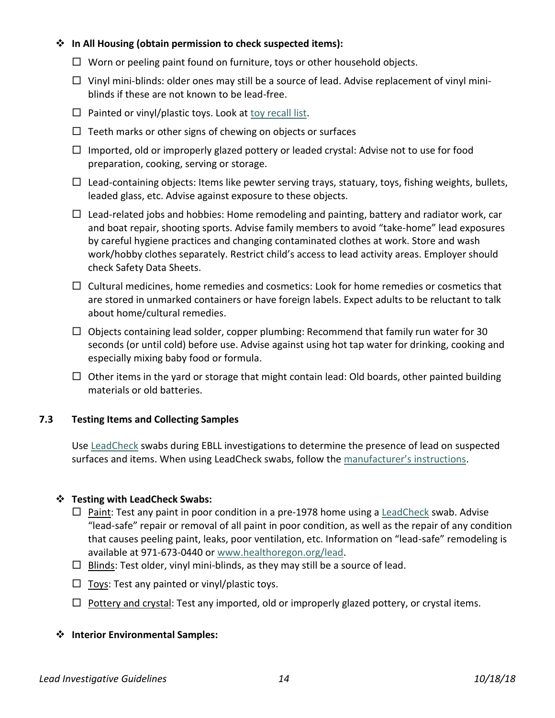## ❖ **In All Housing (obtain permission to check suspected items):**

- $\Box$  Worn or peeling paint found on furniture, toys or other household objects.
- $\Box$  Vinyl mini-blinds: older ones may still be a source of lead. Advise replacement of vinyl miniblinds if these are not known to be lead-free.
- $\Box$  Painted or vinyl/plastic toys. Look at [toy recall list.](http://www.cpsc.gov/en/Recalls/Recalls-by-Product/)
- $\Box$  Teeth marks or other signs of chewing on objects or surfaces
- $\Box$  Imported, old or improperly glazed pottery or leaded crystal: Advise not to use for food preparation, cooking, serving or storage.
- $\Box$  Lead-containing objects: Items like pewter serving trays, statuary, toys, fishing weights, bullets, leaded glass, etc. Advise against exposure to these objects.
- $\Box$  Lead-related jobs and hobbies: Home remodeling and painting, battery and radiator work, car and boat repair, shooting sports. Advise family members to avoid "take-home" lead exposures by careful hygiene practices and changing contaminated clothes at work. Store and wash work/hobby clothes separately. Restrict child's access to lead activity areas. Employer should check Safety Data Sheets.
- $\Box$  Cultural medicines, home remedies and cosmetics: Look for home remedies or cosmetics that are stored in unmarked containers or have foreign labels. Expect adults to be reluctant to talk about home/cultural remedies.
- $\Box$  Objects containing lead solder, copper plumbing: Recommend that family run water for 30 seconds (or until cold) before use. Advise against using hot tap water for drinking, cooking and especially mixing baby food or formula.
- $\Box$  Other items in the yard or storage that might contain lead: Old boards, other painted building materials or old batteries.

# **7.3 Testing Items and Collecting Samples**

Use [LeadCheck](https://www.3m.com/3M/en_US/company-us/all-3m-products/~/3M-LeadCheck-Swabs/?N=5002385+3294002061&rt=rud) swabs during EBLL investigations to determine the presence of lead on suspected surfaces and items. When using LeadCheck swabs, follow the [manufacturer's instructions](https://www.doh.wa.gov/Portals/1/Documents/4000/LeadCheck_Swab_Manual.pdf).

# ❖ **Testing with LeadCheck Swabs:**

- $\Box$  Paint: Test any paint in poor condition in a pre-1978 home using a [LeadCheck](http://leadcheck.com/) swab. Advise "lead-safe" repair or removal of all paint in poor condition, as well as the repair of any condition that causes peeling paint, leaks, poor ventilation, etc. Information on "lead-safe" remodeling is available at 971-673-0440 o[r www.healthoregon.org/lead.](http://www.healthoregon.org/lead)
- $\Box$  Blinds: Test older, vinyl mini-blinds, as they may still be a source of lead.
- $\Box$  Toys: Test any painted or vinyl/plastic toys.
- $\Box$  Pottery and crystal: Test any imported, old or improperly glazed pottery, or crystal items.

## ❖ **Interior Environmental Samples:**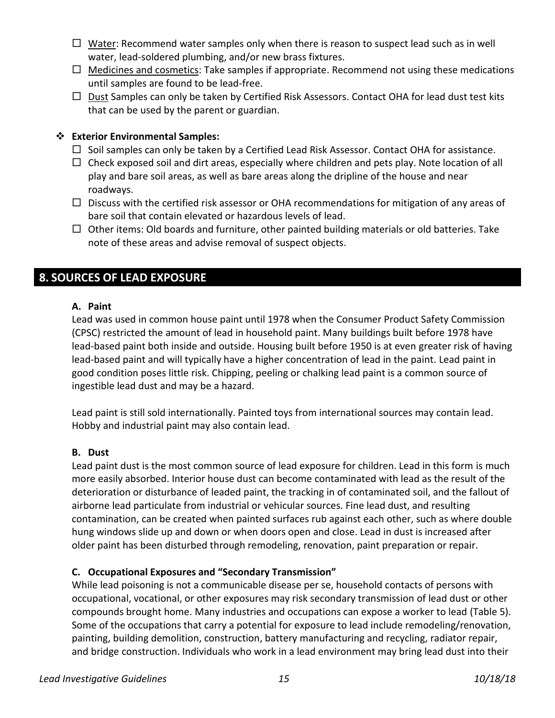- $\Box$  Water: Recommend water samples only when there is reason to suspect lead such as in well water, lead-soldered plumbing, and/or new brass fixtures.
- $\Box$  Medicines and cosmetics: Take samples if appropriate. Recommend not using these medications until samples are found to be lead-free.
- $\Box$  Dust Samples can only be taken by Certified Risk Assessors. Contact OHA for lead dust test kits that can be used by the parent or guardian.

## ❖ **Exterior Environmental Samples:**

- $\Box$  Soil samples can only be taken by a Certified Lead Risk Assessor. Contact OHA for assistance.
- $\Box$  Check exposed soil and dirt areas, especially where children and pets play. Note location of all play and bare soil areas, as well as bare areas along the dripline of the house and near roadways.
- $\Box$  Discuss with the certified risk assessor or OHA recommendations for mitigation of any areas of bare soil that contain elevated or hazardous levels of lead.
- $\Box$  Other items: Old boards and furniture, other painted building materials or old batteries. Take note of these areas and advise removal of suspect objects.

# **8. SOURCES OF LEAD EXPOSURE**

## **A. Paint**

Lead was used in common house paint until 1978 when the Consumer Product Safety Commission (CPSC) restricted the amount of lead in household paint. Many buildings built before 1978 have lead-based paint both inside and outside. Housing built before 1950 is at even greater risk of having lead-based paint and will typically have a higher concentration of lead in the paint. Lead paint in good condition poses little risk. Chipping, peeling or chalking lead paint is a common source of ingestible lead dust and may be a hazard.

Lead paint is still sold internationally. Painted toys from international sources may contain lead. Hobby and industrial paint may also contain lead.

## **B. Dust**

Lead paint dust is the most common source of lead exposure for children. Lead in this form is much more easily absorbed. Interior house dust can become contaminated with lead as the result of the deterioration or disturbance of leaded paint, the tracking in of contaminated soil, and the fallout of airborne lead particulate from industrial or vehicular sources. Fine lead dust, and resulting contamination, can be created when painted surfaces rub against each other, such as where double hung windows slide up and down or when doors open and close. Lead in dust is increased after older paint has been disturbed through remodeling, renovation, paint preparation or repair.

# **C. Occupational Exposures and "Secondary Transmission"**

While lead poisoning is not a communicable disease per se, household contacts of persons with occupational, vocational, or other exposures may risk secondary transmission of lead dust or other compounds brought home. Many industries and occupations can expose a worker to lead (Table 5). Some of the occupations that carry a potential for exposure to lead include remodeling/renovation, painting, building demolition, construction, battery manufacturing and recycling, radiator repair, and bridge construction. Individuals who work in a lead environment may bring lead dust into their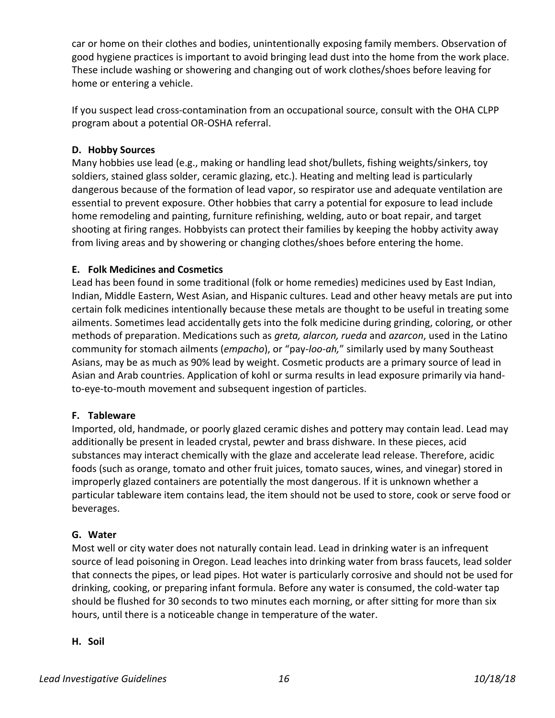car or home on their clothes and bodies, unintentionally exposing family members. Observation of good hygiene practices is important to avoid bringing lead dust into the home from the work place. These include washing or showering and changing out of work clothes/shoes before leaving for home or entering a vehicle.

If you suspect lead cross-contamination from an occupational source, consult with the OHA CLPP program about a potential OR-OSHA referral.

# **D. Hobby Sources**

Many hobbies use lead (e.g., making or handling lead shot/bullets, fishing weights/sinkers, toy soldiers, stained glass solder, ceramic glazing, etc.). Heating and melting lead is particularly dangerous because of the formation of lead vapor, so respirator use and adequate ventilation are essential to prevent exposure. Other hobbies that carry a potential for exposure to lead include home remodeling and painting, furniture refinishing, welding, auto or boat repair, and target shooting at firing ranges. Hobbyists can protect their families by keeping the hobby activity away from living areas and by showering or changing clothes/shoes before entering the home.

# **E. Folk Medicines and Cosmetics**

Lead has been found in some traditional (folk or home remedies) medicines used by East Indian, Indian, Middle Eastern, West Asian, and Hispanic cultures. Lead and other heavy metals are put into certain folk medicines intentionally because these metals are thought to be useful in treating some ailments. Sometimes lead accidentally gets into the folk medicine during grinding, coloring, or other methods of preparation. Medications such as *greta, alarcon, rueda* and *azarcon*, used in the Latino community for stomach ailments (*empacho*), or "pay*-loo-ah,*" similarly used by many Southeast Asians, may be as much as 90% lead by weight. Cosmetic products are a primary source of lead in Asian and Arab countries. Application of kohl or surma results in lead exposure primarily via handto-eye-to-mouth movement and subsequent ingestion of particles.

# **F. Tableware**

Imported, old, handmade, or poorly glazed ceramic dishes and pottery may contain lead. Lead may additionally be present in leaded crystal, pewter and brass dishware. In these pieces, acid substances may interact chemically with the glaze and accelerate lead release. Therefore, acidic foods (such as orange, tomato and other fruit juices, tomato sauces, wines, and vinegar) stored in improperly glazed containers are potentially the most dangerous. If it is unknown whether a particular tableware item contains lead, the item should not be used to store, cook or serve food or beverages.

# **G. Water**

Most well or city water does not naturally contain lead. Lead in drinking water is an infrequent source of lead poisoning in Oregon. Lead leaches into drinking water from brass faucets, lead solder that connects the pipes, or lead pipes. Hot water is particularly corrosive and should not be used for drinking, cooking, or preparing infant formula. Before any water is consumed, the cold-water tap should be flushed for 30 seconds to two minutes each morning, or after sitting for more than six hours, until there is a noticeable change in temperature of the water.

## **H. Soil**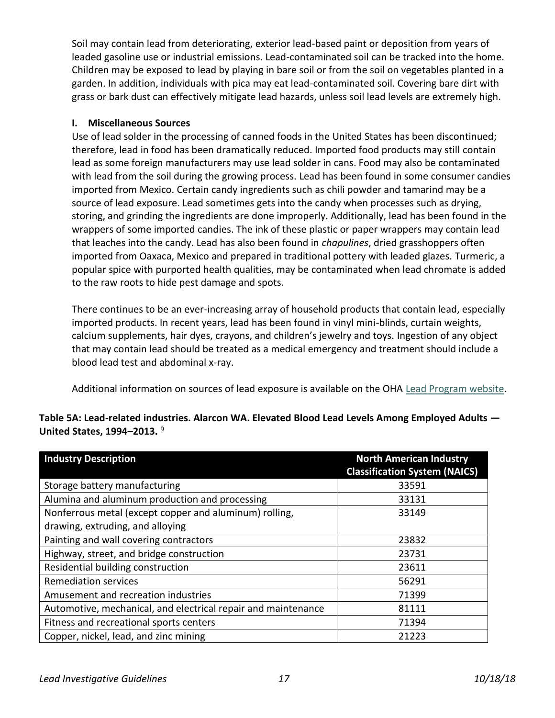Soil may contain lead from deteriorating, exterior lead-based paint or deposition from years of leaded gasoline use or industrial emissions. Lead-contaminated soil can be tracked into the home. Children may be exposed to lead by playing in bare soil or from the soil on vegetables planted in a garden. In addition, individuals with pica may eat lead-contaminated soil. Covering bare dirt with grass or bark dust can effectively mitigate lead hazards, unless soil lead levels are extremely high.

## **I. Miscellaneous Sources**

Use of lead solder in the processing of canned foods in the United States has been discontinued; therefore, lead in food has been dramatically reduced. Imported food products may still contain lead as some foreign manufacturers may use lead solder in cans. Food may also be contaminated with lead from the soil during the growing process. Lead has been found in some consumer candies imported from Mexico. Certain candy ingredients such as chili powder and tamarind may be a source of lead exposure. Lead sometimes gets into the candy when processes such as drying, storing, and grinding the ingredients are done improperly. Additionally, lead has been found in the wrappers of some imported candies. The ink of these plastic or paper wrappers may contain lead that leaches into the candy. Lead has also been found in *chapulines*, dried grasshoppers often imported from Oaxaca, Mexico and prepared in traditional pottery with leaded glazes. Turmeric, a popular spice with purported health qualities, may be contaminated when lead chromate is added to the raw roots to hide pest damage and spots.

There continues to be an ever-increasing array of household products that contain lead, especially imported products. In recent years, lead has been found in vinyl mini-blinds, curtain weights, calcium supplements, hair dyes, crayons, and children's jewelry and toys. Ingestion of any object that may contain lead should be treated as a medical emergency and treatment should include a blood lead test and abdominal x-ray.

Additional information on sources of lead exposure is available on the OHA [Lead Program website.](https://public.health.oregon.gov/HealthyEnvironments/HealthyNeighborhoods/LeadPoisoning/ParentsFamilies/Pages/sourcesoflead.aspx)

# **Table 5A: Lead-related industries. Alarcon WA. Elevated Blood Lead Levels Among Employed Adults — United States, 1994–2013.** <sup>9</sup>

| <b>Industry Description</b>                                   | <b>North American Industry</b><br><b>Classification System (NAICS)</b> |
|---------------------------------------------------------------|------------------------------------------------------------------------|
| Storage battery manufacturing                                 | 33591                                                                  |
| Alumina and aluminum production and processing                | 33131                                                                  |
| Nonferrous metal (except copper and aluminum) rolling,        | 33149                                                                  |
| drawing, extruding, and alloying                              |                                                                        |
| Painting and wall covering contractors                        | 23832                                                                  |
| Highway, street, and bridge construction                      | 23731                                                                  |
| Residential building construction                             | 23611                                                                  |
| <b>Remediation services</b>                                   | 56291                                                                  |
| Amusement and recreation industries                           | 71399                                                                  |
| Automotive, mechanical, and electrical repair and maintenance | 81111                                                                  |
| Fitness and recreational sports centers                       | 71394                                                                  |
| Copper, nickel, lead, and zinc mining                         | 21223                                                                  |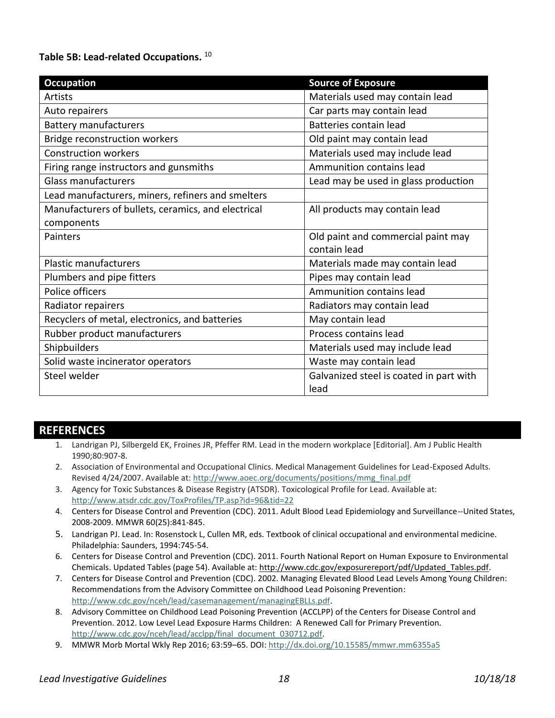#### **Table 5B: Lead-related Occupations.** <sup>10</sup>

| <b>Occupation</b>                                  | <b>Source of Exposure</b>               |
|----------------------------------------------------|-----------------------------------------|
| <b>Artists</b>                                     | Materials used may contain lead         |
| Auto repairers                                     | Car parts may contain lead              |
| <b>Battery manufacturers</b>                       | Batteries contain lead                  |
| Bridge reconstruction workers                      | Old paint may contain lead              |
| <b>Construction workers</b>                        | Materials used may include lead         |
| Firing range instructors and gunsmiths             | Ammunition contains lead                |
| <b>Glass manufacturers</b>                         | Lead may be used in glass production    |
| Lead manufacturers, miners, refiners and smelters  |                                         |
| Manufacturers of bullets, ceramics, and electrical | All products may contain lead           |
| components                                         |                                         |
| Painters                                           | Old paint and commercial paint may      |
|                                                    | contain lead                            |
| <b>Plastic manufacturers</b>                       | Materials made may contain lead         |
| Plumbers and pipe fitters                          | Pipes may contain lead                  |
| Police officers                                    | Ammunition contains lead                |
| Radiator repairers                                 | Radiators may contain lead              |
| Recyclers of metal, electronics, and batteries     | May contain lead                        |
| Rubber product manufacturers                       | Process contains lead                   |
| Shipbuilders                                       | Materials used may include lead         |
| Solid waste incinerator operators                  | Waste may contain lead                  |
| Steel welder                                       | Galvanized steel is coated in part with |
|                                                    | lead                                    |

# **REFERENCES**

- 1. Landrigan PJ, Silbergeld EK, Froines JR, Pfeffer RM. Lead in the modern workplace [Editorial]. Am J Public Health 1990;80:907-8.
- 2. Association of Environmental and Occupational Clinics. Medical Management Guidelines for Lead-Exposed Adults. Revised 4/24/2007. Available at: [http://www.aoec.org/documents/positions/mmg\\_final.pdf](http://www.aoec.org/documents/positions/mmg_final.pdf)
- 3. Agency for Toxic Substances & Disease Registry (ATSDR). Toxicological Profile for Lead. Available at: <http://www.atsdr.cdc.gov/ToxProfiles/TP.asp?id=96&tid=22>
- 4. Centers for Disease Control and Prevention (CDC). 2011. Adult Blood Lead Epidemiology and Surveillance--United States, 2008-2009. MMWR 60(25):841-845.
- 5. Landrigan PJ. Lead. In: Rosenstock L, Cullen MR, eds. Textbook of clinical occupational and environmental medicine. Philadelphia: Saunders, 1994:745-54.
- 6. Centers for Disease Control and Prevention (CDC). 2011. Fourth National Report on Human Exposure to Environmental Chemicals. Updated Tables (page 54). Available at: [http://www.cdc.gov/exposurereport/pdf/Updated\\_Tables.pdf.](http://www.cdc.gov/exposurereport/pdf/Updated_Tables.pdf)
- 7. Centers for Disease Control and Prevention (CDC). 2002. Managing Elevated Blood Lead Levels Among Young Children: Recommendations from the Advisory Committee on Childhood Lead Poisoning Prevention: [http://www.cdc.gov/nceh/lead/casemanagement/managingEBLLs.pdf.](http://www.cdc.gov/nceh/lead/casemanagement/managingEBLLs.pdf)
- 8. Advisory Committee on Childhood Lead Poisoning Prevention (ACCLPP) of the Centers for Disease Control and Prevention. 2012. Low Level Lead Exposure Harms Children: A Renewed Call for Primary Prevention. [http://www.cdc.gov/nceh/lead/acclpp/final\\_document\\_030712.pdf.](http://www.cdc.gov/nceh/lead/acclpp/final_document_030712.pdf)
- 9. MMWR Morb Mortal Wkly Rep 2016; 63:59–65. DOI[: http://dx.doi.org/10.15585/mmwr.mm6355a5](http://dx.doi.org/10.15585/mmwr.mm6355a5)